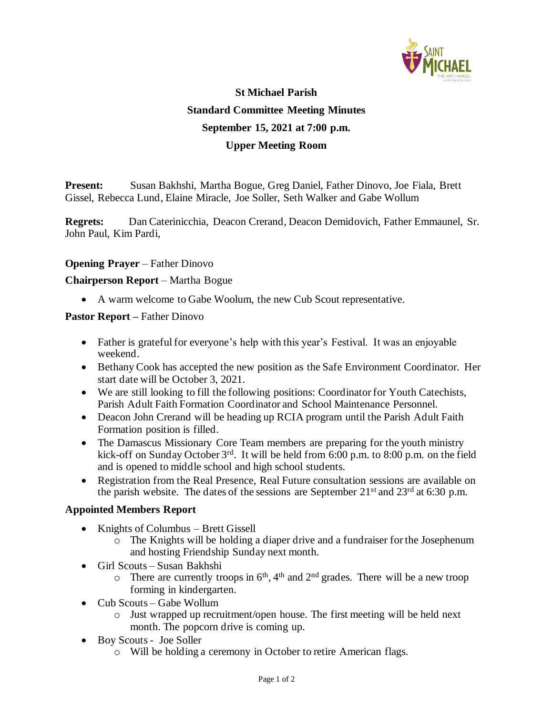

# **St Michael Parish Standard Committee Meeting Minutes September 15, 2021 at 7:00 p.m. Upper Meeting Room**

**Present:** Susan Bakhshi, Martha Bogue, Greg Daniel, Father Dinovo, Joe Fiala, Brett Gissel, Rebecca Lund, Elaine Miracle, Joe Soller, Seth Walker and Gabe Wollum

**Regrets:** Dan Caterinicchia, Deacon Crerand, Deacon Demidovich, Father Emmaunel, Sr. John Paul, Kim Pardi,

### **Opening Prayer** – Father Dinovo

#### **Chairperson Report** – Martha Bogue

• A warm welcome to Gabe Woolum, the new Cub Scout representative.

#### **Pastor Report –** Father Dinovo

- Father is grateful for everyone's help with this year's Festival. It was an enjoyable weekend.
- Bethany Cook has accepted the new position as the Safe Environment Coordinator. Her start date will be October 3, 2021.
- We are still looking to fill the following positions: Coordinator for Youth Catechists, Parish Adult Faith Formation Coordinator and School Maintenance Personnel.
- Deacon John Crerand will be heading up RCIA program until the Parish Adult Faith Formation position is filled.
- The Damascus Missionary Core Team members are preparing for the youth ministry kick-off on Sunday October 3<sup>rd</sup>. It will be held from 6:00 p.m. to 8:00 p.m. on the field and is opened to middle school and high school students.
- Registration from the Real Presence, Real Future consultation sessions are available on the parish website. The dates of the sessions are September  $21<sup>st</sup>$  and  $23<sup>rd</sup>$  at 6:30 p.m.

#### **Appointed Members Report**

- Knights of Columbus Brett Gissell
	- o The Knights will be holding a diaper drive and a fundraiser for the Josephenum and hosting Friendship Sunday next month.
- Girl Scouts Susan Bakhshi
	- $\circ$  There are currently troops in  $6<sup>th</sup>$ , 4<sup>th</sup> and 2<sup>nd</sup> grades. There will be a new troop forming in kindergarten.
- Cub Scouts Gabe Wollum
	- o Just wrapped up recruitment/open house. The first meeting will be held next month. The popcorn drive is coming up.
- Boy Scouts Joe Soller
	- o Will be holding a ceremony in October to retire American flags.